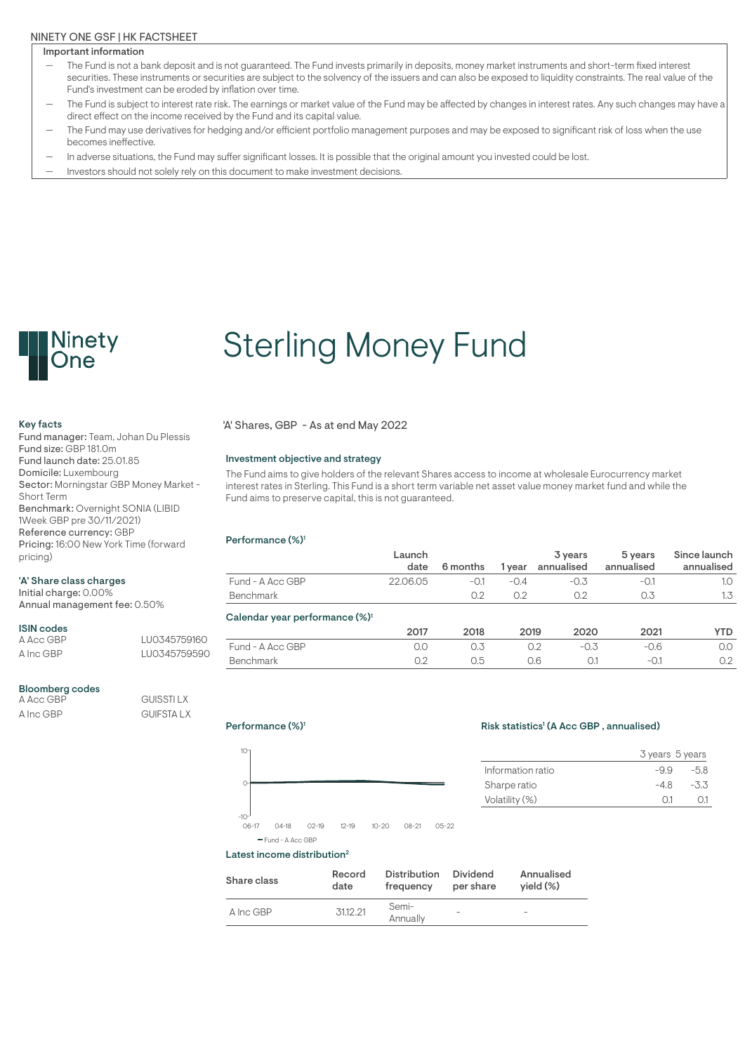### NINETY ONE GSF | HK FACTSHEET

#### Important information

- The Fund is not a bank deposit and is not guaranteed. The Fund invests primarily in deposits, money market instruments and short-term fixed interest securities. These instruments or securities are subject to the solvency of the issuers and can also be exposed to liquidity constraints. The real value of the Fund's investment can be eroded by inflation over time.
- The Fund is subject to interest rate risk. The earnings or market value of the Fund may be affected by changes in interest rates. Any such changes may have a direct effect on the income received by the Fund and its capital value.
- The Fund may use derivatives for hedging and/or efficient portfolio management purposes and may be exposed to significant risk of loss when the use becomes ineffective.
- In adverse situations, the Fund may suffer significant losses. It is possible that the original amount you invested could be lost.
- Investors should not solely rely on this document to make investment decisions.



# Sterling Money Fund

Fund manager: Team, Johan Du Plessis Fund size: GBP 181.0m Fund launch date: 25.01.85 Domicile: Luxembourg Sector: Morningstar GBP Money Market - Short Term Benchmark: Overnight SONIA (LIBID 1Week GBP pre 30/11/2021) Reference currency: GBP Pricing: 16:00 New York Time (forward pricing)

#### 'A' Share class charges

Initial charge: 0.00% Annual management fee: 0.50%

# **ISIN codes**<br>A Acc GBP

A Inc GBP LU0345759590

# Bloomberg codes<br> $A$  Acc GBP

**GUISSTI LX** A Inc GBP GUIFSTA LX

LU0345759160

Key facts 'A' Shares, GBP - As at end May 2022

#### Investment objective and strategy

The Fund aims to give holders of the relevant Shares access to income at wholesale Eurocurrency market interest rates in Sterling. This Fund is a short term variable net asset value money market fund and while the Fund aims to preserve capital, this is not guaranteed.

#### Performance (%)<sup>1</sup>

|                                            | Launch<br>date | 6 months | l vear | 3 years<br>annualised | 5 years<br>annualised | Since launch<br>annualised |
|--------------------------------------------|----------------|----------|--------|-----------------------|-----------------------|----------------------------|
| Fund - A Acc GBP                           | 22.06.05       | $-0.1$   | $-0.4$ | $-0.3$                | $-0.1$                | 1.0                        |
| Benchmark                                  |                | 0.2      | 0.2    | 0.2                   | 0.3                   | 1.3                        |
| Calendar year performance (%) <sup>1</sup> |                |          |        |                       |                       |                            |
|                                            | 2017           | 2018     | 2019   | 2020                  | 2021                  | <b>YTD</b>                 |
| Fund - A Acc GBP                           | 0.0            | 0.3      |        | $-0.3$<br>0.2         | $-0.6$                | 0.0                        |
| Benchmark                                  | 0.2            | 0.5      |        | 0.6<br>0.1            | $-0.1$                | 0.2                        |



-10

0

10

#### Risk statistics<sup>1</sup> (A Acc GBP, annualised)

|                   | 3 years 5 years |        |
|-------------------|-----------------|--------|
| Information ratio | $-99$           | $-58$  |
| Sharpe ratio      | -48             | $-3.3$ |
| Volatility (%)    | ()1             |        |
|                   |                 |        |

06-17 04-18 02-19 12-19 10-20 08-21 05-22

#### Latest income distribution<sup>2</sup> Fund - A Acc GBP

| Share class | Record   | <b>Distribution</b> | Dividend  | Annualised               |
|-------------|----------|---------------------|-----------|--------------------------|
|             | date     | frequency           | per share | $vield (\%)$             |
| A Inc GBP   | 31.12.21 | Semi-<br>Annually   |           | $\overline{\phantom{a}}$ |